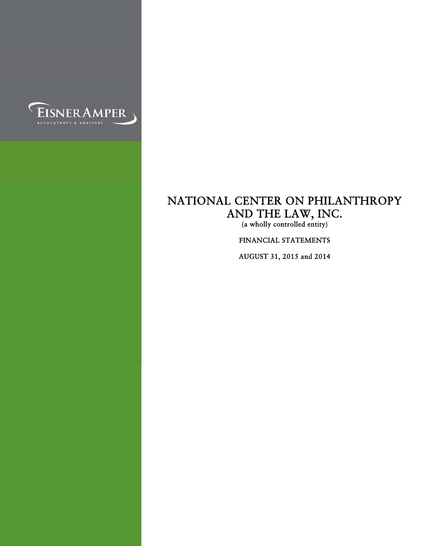

(a wholly controlled entity)

FINANCIAL STATEMENTS

AUGUST 31, 2015 and 2014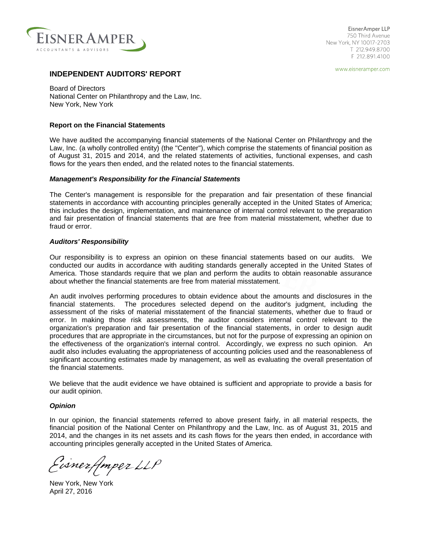

750 Third Avenue New York, NY 10017-2703 T 212.949.8700 F 212.891.4100 EisnerAmper LLP

www.eisneramper.com

## **INDEPENDENT AUDITORS' REPORT**

Board of Directors National Center on Philanthropy and the Law, Inc. New York, New York

## **Report on the Financial Statements**

We have audited the accompanying financial statements of the National Center on Philanthropy and the Law, Inc. (a wholly controlled entity) (the "Center"), which comprise the statements of financial position as of August 31, 2015 and 2014, and the related statements of activities, functional expenses, and cash flows for the years then ended, and the related notes to the financial statements.

#### *Management's Responsibility for the Financial Statements*

The Center's management is responsible for the preparation and fair presentation of these financial statements in accordance with accounting principles generally accepted in the United States of America; this includes the design, implementation, and maintenance of internal control relevant to the preparation and fair presentation of financial statements that are free from material misstatement, whether due to fraud or error.

#### *Auditors' Responsibility*

Our responsibility is to express an opinion on these financial statements based on our audits. We conducted our audits in accordance with auditing standards generally accepted in the United States of America. Those standards require that we plan and perform the audits to obtain reasonable assurance about whether the financial statements are free from material misstatement.

An audit involves performing procedures to obtain evidence about the amounts and disclosures in the financial statements. The procedures selected depend on the auditor's judgment, including the assessment of the risks of material misstatement of the financial statements, whether due to fraud or error. In making those risk assessments, the auditor considers internal control relevant to the organization's preparation and fair presentation of the financial statements, in order to design audit procedures that are appropriate in the circumstances, but not for the purpose of expressing an opinion on the effectiveness of the organization's internal control. Accordingly, we express no such opinion. An audit also includes evaluating the appropriateness of accounting policies used and the reasonableness of significant accounting estimates made by management, as well as evaluating the overall presentation of the financial statements.

We believe that the audit evidence we have obtained is sufficient and appropriate to provide a basis for our audit opinion.

## *Opinion*

In our opinion, the financial statements referred to above present fairly, in all material respects, the financial position of the National Center on Philanthropy and the Law, Inc. as of August 31, 2015 and 2014, and the changes in its net assets and its cash flows for the years then ended, in accordance with accounting principles generally accepted in the United States of America.

Eisnerfmper LLP

New York, New York April 27, 2016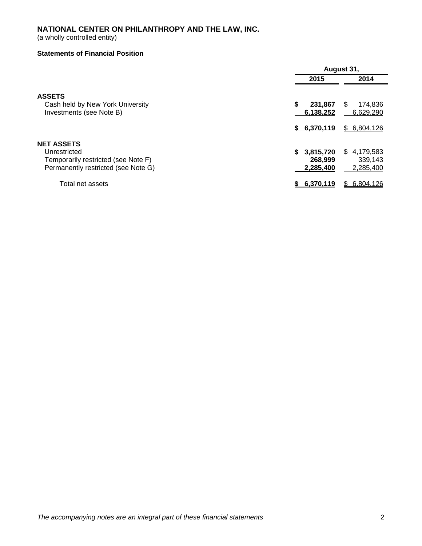(a wholly controlled entity)

## **Statements of Financial Position**

|                                     | August 31,      |                  |  |
|-------------------------------------|-----------------|------------------|--|
|                                     | 2015            | 2014             |  |
| <b>ASSETS</b>                       |                 |                  |  |
| Cash held by New York University    | S<br>231,867    | \$.<br>174,836   |  |
| Investments (see Note B)            | 6,138,252       | 6,629,290        |  |
|                                     | \$6.370.119     | \$6,804,126      |  |
| <b>NET ASSETS</b>                   |                 |                  |  |
| Unrestricted                        | 3,815,720<br>S. | \$<br>4,179,583  |  |
| Temporarily restricted (see Note F) | 268,999         | 339,143          |  |
| Permanently restricted (see Note G) | 2,285,400       | 2,285,400        |  |
| Total net assets                    | 6,370,119       | 6,804,126<br>\$. |  |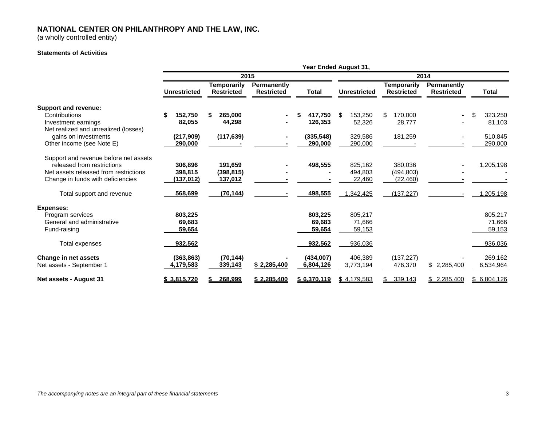(a wholly controlled entity)

#### **Statements of Activities**

|                                       |                     |                                  |                                  |               | Year Ended August 31, |                                         |                                  |               |
|---------------------------------------|---------------------|----------------------------------|----------------------------------|---------------|-----------------------|-----------------------------------------|----------------------------------|---------------|
|                                       |                     |                                  | 2015                             |               |                       |                                         | 2014                             |               |
|                                       | <b>Unrestricted</b> | Temporarily<br><b>Restricted</b> | Permanently<br><b>Restricted</b> | <b>Total</b>  | <b>Unrestricted</b>   | <b>Temporarily</b><br><b>Restricted</b> | Permanently<br><b>Restricted</b> | <b>Total</b>  |
| Support and revenue:                  |                     |                                  |                                  |               |                       |                                         |                                  |               |
| Contributions                         | 152,750<br>\$       | 265,000<br>\$                    | $\blacksquare$                   | 417,750<br>\$ | 153,250<br>\$         | 170.000<br>\$                           | ٠                                | \$<br>323,250 |
| Investment earnings                   | 82,055              | 44,298                           |                                  | 126,353       | 52,326                | 28,777                                  |                                  | 81,103        |
| Net realized and unrealized (losses)  |                     |                                  |                                  |               |                       |                                         |                                  |               |
| gains on investments                  | (217,909)           | (117, 639)                       |                                  | (335, 548)    | 329,586               | 181,259                                 |                                  | 510,845       |
| Other income (see Note E)             | 290,000             |                                  |                                  | 290,000       | 290,000               |                                         |                                  | 290,000       |
| Support and revenue before net assets |                     |                                  |                                  |               |                       |                                         |                                  |               |
| released from restrictions            | 306,896             | 191,659                          |                                  | 498,555       | 825,162               | 380,036                                 |                                  | 1,205,198     |
| Net assets released from restrictions | 398,815             | (398, 815)                       |                                  |               | 494,803               | (494, 803)                              |                                  |               |
| Change in funds with deficiencies     | (137, 012)          | 137,012                          |                                  |               | 22,460                | (22, 460)                               |                                  |               |
| Total support and revenue             | 568,699             | (70, 144)                        |                                  | 498,555       | 1,342,425             | (137, 227)                              |                                  | 1,205,198     |
| <b>Expenses:</b>                      |                     |                                  |                                  |               |                       |                                         |                                  |               |
| Program services                      | 803,225             |                                  |                                  | 803,225       | 805,217               |                                         |                                  | 805,217       |
| General and administrative            | 69,683              |                                  |                                  | 69,683        | 71,666                |                                         |                                  | 71,666        |
| Fund-raising                          | 59,654              |                                  |                                  | 59,654        | 59,153                |                                         |                                  | 59,153        |
| Total expenses                        | 932,562             |                                  |                                  | 932,562       | 936,036               |                                         |                                  | 936,036       |
| Change in net assets                  | (363, 863)          | (70, 144)                        |                                  | (434,007)     | 406,389               | (137, 227)                              |                                  | 269,162       |
| Net assets - September 1              | 4,179,583           | 339,143                          | \$2,285,400                      | 6,804,126     | 3,773,194             | 476,370                                 | \$2,285,400                      | 6,534,964     |
| Net assets - August 31                | \$3,815,720         | 268,999                          | \$2,285,400                      | \$6,370,119   | \$4,179,583           | 339,143<br>SS.                          | \$2,285,400                      | \$6,804,126   |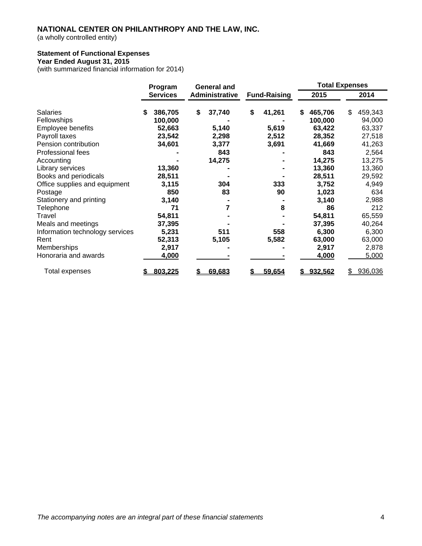(a wholly controlled entity)

## **Statement of Functional Expenses**

## **Year Ended August 31, 2015**

(with summarized financial information for 2014)

|                                 | <b>General and</b><br>Program |                 |                |    | <b>Total Expenses</b> |               |     |         |
|---------------------------------|-------------------------------|-----------------|----------------|----|-----------------------|---------------|-----|---------|
|                                 |                               | <b>Services</b> | Administrative |    | <b>Fund-Raising</b>   | 2015          |     | 2014    |
| <b>Salaries</b>                 | \$                            | 386,705         | \$<br>37,740   | \$ | 41,261                | \$<br>465,706 | \$  | 459,343 |
| Fellowships                     |                               | 100,000         |                |    |                       | 100,000       |     | 94,000  |
| Employee benefits               |                               | 52,663          | 5,140          |    | 5,619                 | 63,422        |     | 63,337  |
| Payroll taxes                   |                               | 23,542          | 2,298          |    | 2,512                 | 28,352        |     | 27,518  |
| Pension contribution            |                               | 34,601          | 3,377          |    | 3,691                 | 41,669        |     | 41,263  |
| Professional fees               |                               |                 | 843            |    |                       | 843           |     | 2,564   |
| Accounting                      |                               |                 | 14,275         |    |                       | 14,275        |     | 13,275  |
| Library services                |                               | 13,360          |                |    |                       | 13,360        |     | 13,360  |
| Books and periodicals           |                               | 28,511          |                |    |                       | 28,511        |     | 29,592  |
| Office supplies and equipment   |                               | 3,115           | 304            |    | 333                   | 3,752         |     | 4,949   |
| Postage                         |                               | 850             | 83             |    | 90                    | 1,023         |     | 634     |
| Stationery and printing         |                               | 3,140           |                |    |                       | 3,140         |     | 2,988   |
| Telephone                       |                               | 71              |                |    | 8                     | 86            |     | 212     |
| Travel                          |                               | 54,811          |                |    |                       | 54,811        |     | 65,559  |
| Meals and meetings              |                               | 37,395          |                |    |                       | 37,395        |     | 40,264  |
| Information technology services |                               | 5,231           | 511            |    | 558                   | 6,300         |     | 6,300   |
| Rent                            |                               | 52,313          | 5,105          |    | 5,582                 | 63,000        |     | 63,000  |
| Memberships                     |                               | 2,917           |                |    |                       | 2,917         |     | 2,878   |
| Honoraria and awards            |                               | 4,000           |                |    |                       | 4,000         |     | 5,000   |
| Total expenses                  |                               | 803,225         | 69.683         |    | 59,654                | \$932,562     | \$. | 936,036 |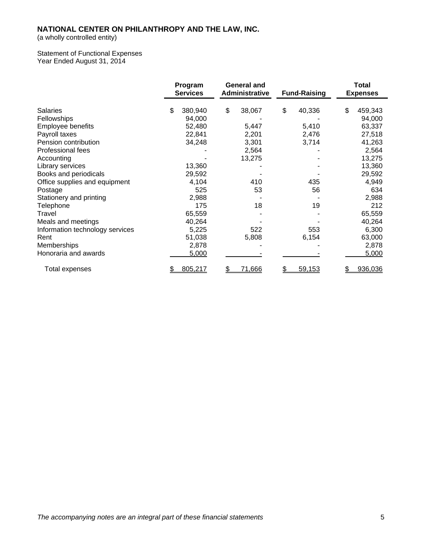(a wholly controlled entity)

## Statement of Functional Expenses Year Ended August 31, 2014

|                                 | Program<br><b>Services</b> | <b>General and</b><br><b>Administrative</b> | <b>Fund-Raising</b> | <b>Total</b><br><b>Expenses</b> |
|---------------------------------|----------------------------|---------------------------------------------|---------------------|---------------------------------|
| <b>Salaries</b>                 | \$<br>380,940              | \$<br>38,067                                | \$<br>40,336        | \$<br>459,343                   |
| Fellowships                     | 94,000                     |                                             |                     | 94,000                          |
| Employee benefits               | 52,480                     | 5,447                                       | 5,410               | 63,337                          |
| Payroll taxes                   | 22,841                     | 2,201                                       | 2,476               | 27,518                          |
| Pension contribution            | 34,248                     | 3,301                                       | 3,714               | 41,263                          |
| Professional fees               |                            | 2,564                                       |                     | 2,564                           |
| Accounting                      |                            | 13,275                                      |                     | 13,275                          |
| Library services                | 13,360                     |                                             |                     | 13,360                          |
| Books and periodicals           | 29,592                     |                                             |                     | 29,592                          |
| Office supplies and equipment   | 4,104                      | 410                                         | 435                 | 4,949                           |
| Postage                         | 525                        | 53                                          | 56                  | 634                             |
| Stationery and printing         | 2,988                      |                                             |                     | 2,988                           |
| Telephone                       | 175                        | 18                                          | 19                  | 212                             |
| Travel                          | 65,559                     |                                             |                     | 65,559                          |
| Meals and meetings              | 40,264                     |                                             |                     | 40,264                          |
| Information technology services | 5,225                      | 522                                         | 553                 | 6,300                           |
| Rent                            | 51,038                     | 5,808                                       | 6,154               | 63,000                          |
| Memberships                     | 2,878                      |                                             |                     | 2,878                           |
| Honoraria and awards            | 5,000                      |                                             |                     | 5,000                           |
| Total expenses                  | 805,217<br>\$              | \$<br>71,666                                | \$<br>59,153        | 936,036                         |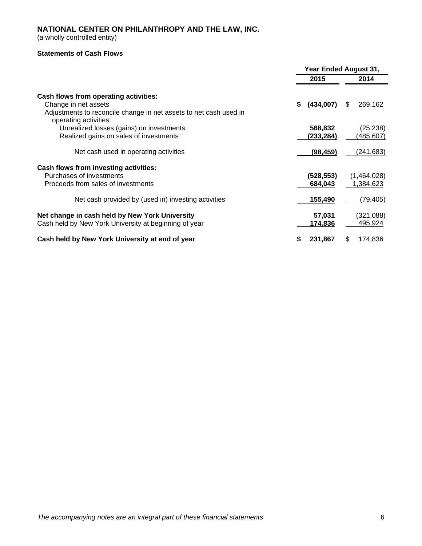(a wholly controlled entity)

## **Statements of Cash Flows**

|                                                                                            | Year Ended August 31, |            |   |             |
|--------------------------------------------------------------------------------------------|-----------------------|------------|---|-------------|
|                                                                                            |                       | 2015       |   | 2014        |
| Cash flows from operating activities:                                                      |                       |            |   |             |
| Change in net assets                                                                       | \$                    | (434,007)  | S | 269,162     |
| Adjustments to reconcile change in net assets to net cash used in<br>operating activities: |                       |            |   |             |
| Unrealized losses (gains) on investments                                                   |                       | 568,832    |   | (25, 238)   |
| Realized gains on sales of investments                                                     |                       | (233,284)  |   | (485,607)   |
| Net cash used in operating activities                                                      |                       | (98, 459)  |   | (241,683)   |
| Cash flows from investing activities:                                                      |                       |            |   |             |
| Purchases of investments                                                                   |                       | (528, 553) |   | (1,464,028) |
| Proceeds from sales of investments                                                         |                       | 684,043    |   | 1,384,623   |
| Net cash provided by (used in) investing activities                                        |                       | 155,490    |   | (79, 405)   |
| Net change in cash held by New York University                                             |                       | 57,031     |   | (321,088)   |
| Cash held by New York University at beginning of year                                      |                       | 174,836    |   | 495,924     |
| Cash held by New York University at end of year                                            |                       | 231.867    | S | 174,836     |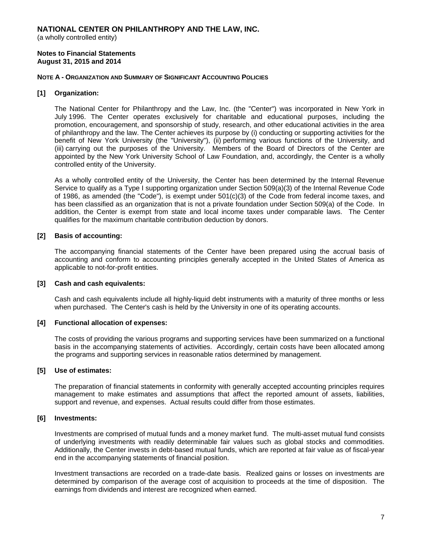(a wholly controlled entity)

#### **Notes to Financial Statements August 31, 2015 and 2014**

#### **NOTE A - ORGANIZATION AND SUMMARY OF SIGNIFICANT ACCOUNTING POLICIES**

## **[1] Organization:**

The National Center for Philanthropy and the Law, Inc. (the "Center") was incorporated in New York in July 1996. The Center operates exclusively for charitable and educational purposes, including the promotion, encouragement, and sponsorship of study, research, and other educational activities in the area of philanthropy and the law. The Center achieves its purpose by (i) conducting or supporting activities for the benefit of New York University (the "University"), (ii) performing various functions of the University, and (iii) carrying out the purposes of the University. Members of the Board of Directors of the Center are appointed by the New York University School of Law Foundation, and, accordingly, the Center is a wholly controlled entity of the University.

As a wholly controlled entity of the University, the Center has been determined by the Internal Revenue Service to qualify as a Type I supporting organization under Section 509(a)(3) of the Internal Revenue Code of 1986, as amended (the "Code"), is exempt under 501(c)(3) of the Code from federal income taxes, and has been classified as an organization that is not a private foundation under Section 509(a) of the Code. In addition, the Center is exempt from state and local income taxes under comparable laws. The Center qualifies for the maximum charitable contribution deduction by donors.

## **[2] Basis of accounting:**

The accompanying financial statements of the Center have been prepared using the accrual basis of accounting and conform to accounting principles generally accepted in the United States of America as applicable to not-for-profit entities.

## **[3] Cash and cash equivalents:**

Cash and cash equivalents include all highly-liquid debt instruments with a maturity of three months or less when purchased. The Center's cash is held by the University in one of its operating accounts.

## **[4] Functional allocation of expenses:**

The costs of providing the various programs and supporting services have been summarized on a functional basis in the accompanying statements of activities. Accordingly, certain costs have been allocated among the programs and supporting services in reasonable ratios determined by management.

## **[5] Use of estimates:**

The preparation of financial statements in conformity with generally accepted accounting principles requires management to make estimates and assumptions that affect the reported amount of assets, liabilities, support and revenue, and expenses. Actual results could differ from those estimates.

## **[6] Investments:**

Investments are comprised of mutual funds and a money market fund. The multi-asset mutual fund consists of underlying investments with readily determinable fair values such as global stocks and commodities. Additionally, the Center invests in debt-based mutual funds, which are reported at fair value as of fiscal-year end in the accompanying statements of financial position.

Investment transactions are recorded on a trade-date basis. Realized gains or losses on investments are determined by comparison of the average cost of acquisition to proceeds at the time of disposition. The earnings from dividends and interest are recognized when earned.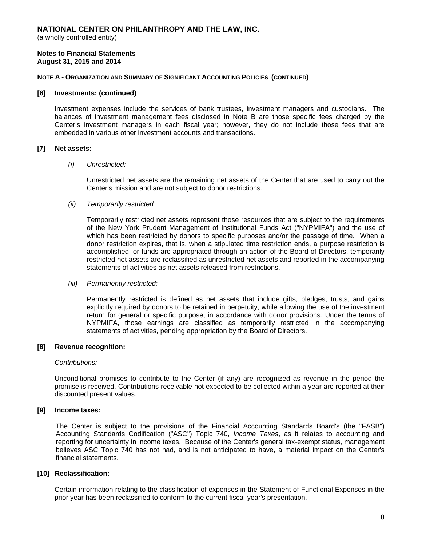(a wholly controlled entity)

#### **Notes to Financial Statements August 31, 2015 and 2014**

## **NOTE A - ORGANIZATION AND SUMMARY OF SIGNIFICANT ACCOUNTING POLICIES (CONTINUED)**

#### **[6] Investments: (continued)**

Investment expenses include the services of bank trustees, investment managers and custodians. The balances of investment management fees disclosed in Note B are those specific fees charged by the Center's investment managers in each fiscal year; however, they do not include those fees that are embedded in various other investment accounts and transactions.

#### **[7] Net assets:**

#### *(i) Unrestricted:*

Unrestricted net assets are the remaining net assets of the Center that are used to carry out the Center's mission and are not subject to donor restrictions.

#### *(ii) Temporarily restricted:*

Temporarily restricted net assets represent those resources that are subject to the requirements of the New York Prudent Management of Institutional Funds Act ("NYPMIFA") and the use of which has been restricted by donors to specific purposes and/or the passage of time. When a donor restriction expires, that is, when a stipulated time restriction ends, a purpose restriction is accomplished, or funds are appropriated through an action of the Board of Directors, temporarily restricted net assets are reclassified as unrestricted net assets and reported in the accompanying statements of activities as net assets released from restrictions.

#### *(iii) Permanently restricted:*

Permanently restricted is defined as net assets that include gifts, pledges, trusts, and gains explicitly required by donors to be retained in perpetuity, while allowing the use of the investment return for general or specific purpose, in accordance with donor provisions. Under the terms of NYPMIFA, those earnings are classified as temporarily restricted in the accompanying statements of activities, pending appropriation by the Board of Directors.

## **[8] Revenue recognition:**

#### *Contributions:*

Unconditional promises to contribute to the Center (if any) are recognized as revenue in the period the promise is received. Contributions receivable not expected to be collected within a year are reported at their discounted present values.

## **[9] Income taxes:**

The Center is subject to the provisions of the Financial Accounting Standards Board's (the "FASB") Accounting Standards Codification ("ASC") Topic 740, *Income Taxes*, as it relates to accounting and reporting for uncertainty in income taxes. Because of the Center's general tax-exempt status, management believes ASC Topic 740 has not had, and is not anticipated to have, a material impact on the Center's financial statements.

## **[10] Reclassification:**

Certain information relating to the classification of expenses in the Statement of Functional Expenses in the prior year has been reclassified to conform to the current fiscal-year's presentation.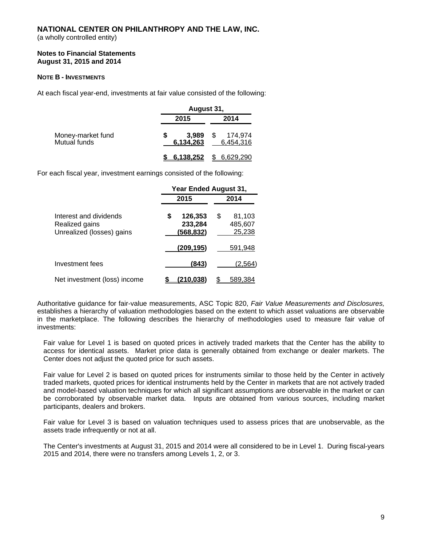(a wholly controlled entity)

#### **Notes to Financial Statements August 31, 2015 and 2014**

## **NOTE B - INVESTMENTS**

At each fiscal year-end, investments at fair value consisted of the following:

|                                   | August 31,         |                            |  |  |
|-----------------------------------|--------------------|----------------------------|--|--|
|                                   | 2015               | 2014                       |  |  |
| Money-market fund<br>Mutual funds | 3,989<br>6,134,263 | \$<br>174,974<br>6,454,316 |  |  |
|                                   | <u>6.138.252</u>   | 6.629.290                  |  |  |

For each fiscal year, investment earnings consisted of the following:

|                                                                       | Year Ended August 31,                  |                                   |  |  |
|-----------------------------------------------------------------------|----------------------------------------|-----------------------------------|--|--|
|                                                                       | 2015                                   | 2014                              |  |  |
| Interest and dividends<br>Realized gains<br>Unrealized (losses) gains | \$<br>126,353<br>233,284<br>(568, 832) | \$<br>81,103<br>485,607<br>25,238 |  |  |
|                                                                       | (209, 195)                             | 591,948                           |  |  |
| Investment fees                                                       | (843)                                  | (2.564)                           |  |  |
| Net investment (loss) income                                          | <u>(210.038)</u>                       | 589,384                           |  |  |

Authoritative guidance for fair-value measurements, ASC Topic 820, *Fair Value Measurements and Disclosures,*  establishes a hierarchy of valuation methodologies based on the extent to which asset valuations are observable in the marketplace. The following describes the hierarchy of methodologies used to measure fair value of investments:

Fair value for Level 1 is based on quoted prices in actively traded markets that the Center has the ability to access for identical assets. Market price data is generally obtained from exchange or dealer markets. The Center does not adjust the quoted price for such assets.

Fair value for Level 2 is based on quoted prices for instruments similar to those held by the Center in actively traded markets, quoted prices for identical instruments held by the Center in markets that are not actively traded and model-based valuation techniques for which all significant assumptions are observable in the market or can be corroborated by observable market data. Inputs are obtained from various sources, including market participants, dealers and brokers.

Fair value for Level 3 is based on valuation techniques used to assess prices that are unobservable, as the assets trade infrequently or not at all.

The Center's investments at August 31, 2015 and 2014 were all considered to be in Level 1. During fiscal-years 2015 and 2014, there were no transfers among Levels 1, 2, or 3.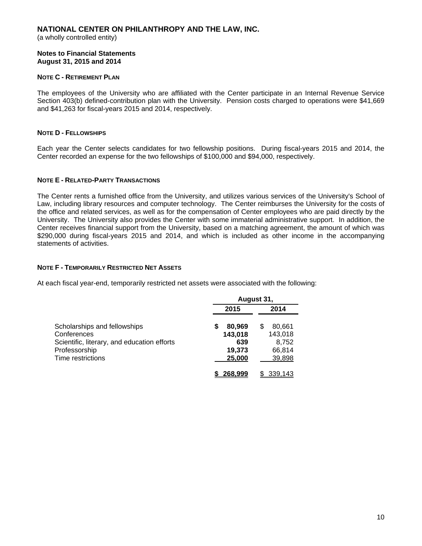(a wholly controlled entity)

#### **Notes to Financial Statements August 31, 2015 and 2014**

## **NOTE C - RETIREMENT PLAN**

The employees of the University who are affiliated with the Center participate in an Internal Revenue Service Section 403(b) defined-contribution plan with the University. Pension costs charged to operations were \$41,669 and \$41,263 for fiscal-years 2015 and 2014, respectively.

## **NOTE D - FELLOWSHIPS**

Each year the Center selects candidates for two fellowship positions. During fiscal-years 2015 and 2014, the Center recorded an expense for the two fellowships of \$100,000 and \$94,000, respectively.

## **NOTE E - RELATED-PARTY TRANSACTIONS**

The Center rents a furnished office from the University, and utilizes various services of the University's School of Law, including library resources and computer technology. The Center reimburses the University for the costs of the office and related services, as well as for the compensation of Center employees who are paid directly by the University. The University also provides the Center with some immaterial administrative support. In addition, the Center receives financial support from the University, based on a matching agreement, the amount of which was \$290,000 during fiscal-years 2015 and 2014, and which is included as other income in the accompanying statements of activities.

## **NOTE F - TEMPORARILY RESTRICTED NET ASSETS**

At each fiscal year-end, temporarily restricted net assets were associated with the following:

|                                             | August 31, |             |  |  |
|---------------------------------------------|------------|-------------|--|--|
|                                             | 2015       | 2014        |  |  |
| Scholarships and fellowships                | 80,969     | 80,661<br>S |  |  |
| Conferences                                 | 143,018    | 143,018     |  |  |
| Scientific, literary, and education efforts | 639        | 8,752       |  |  |
| Professorship                               | 19,373     | 66,814      |  |  |
| Time restrictions                           | 25,000     | 39,898      |  |  |
|                                             | 268.999    | 339,143     |  |  |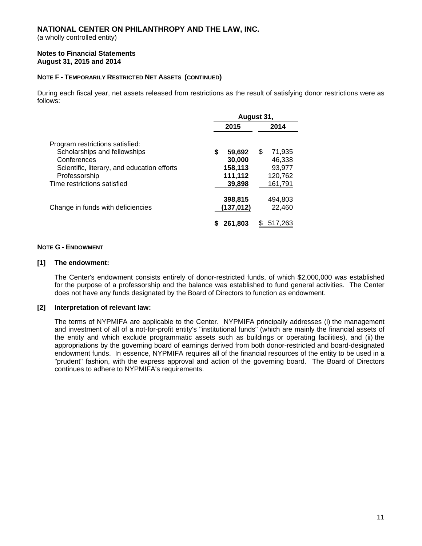(a wholly controlled entity)

#### **Notes to Financial Statements August 31, 2015 and 2014**

## **NOTE F - TEMPORARILY RESTRICTED NET ASSETS (CONTINUED)**

During each fiscal year, net assets released from restrictions as the result of satisfying donor restrictions were as follows:

|                                                                                                                                                                               | August 31,                                             |                                                       |  |  |
|-------------------------------------------------------------------------------------------------------------------------------------------------------------------------------|--------------------------------------------------------|-------------------------------------------------------|--|--|
|                                                                                                                                                                               | 2015                                                   | 2014                                                  |  |  |
| Program restrictions satisfied:<br>Scholarships and fellowships<br>Conferences<br>Scientific, literary, and education efforts<br>Professorship<br>Time restrictions satisfied | \$<br>59,692<br>30,000<br>158,113<br>111,112<br>39,898 | 71,935<br>S<br>46,338<br>93,977<br>120,762<br>161,791 |  |  |
| Change in funds with deficiencies                                                                                                                                             | 398,815<br>(137,012)<br>261.803                        | 494,803<br>22,460<br>517.263                          |  |  |

## **NOTE G - ENDOWMENT**

## **[1] The endowment:**

The Center's endowment consists entirely of donor-restricted funds, of which \$2,000,000 was established for the purpose of a professorship and the balance was established to fund general activities. The Center does not have any funds designated by the Board of Directors to function as endowment.

## **[2] Interpretation of relevant law:**

The terms of NYPMIFA are applicable to the Center. NYPMIFA principally addresses (i) the management and investment of all of a not-for-profit entity's "institutional funds" (which are mainly the financial assets of the entity and which exclude programmatic assets such as buildings or operating facilities), and (ii) the appropriations by the governing board of earnings derived from both donor-restricted and board-designated endowment funds. In essence, NYPMIFA requires all of the financial resources of the entity to be used in a "prudent" fashion, with the express approval and action of the governing board. The Board of Directors continues to adhere to NYPMIFA's requirements.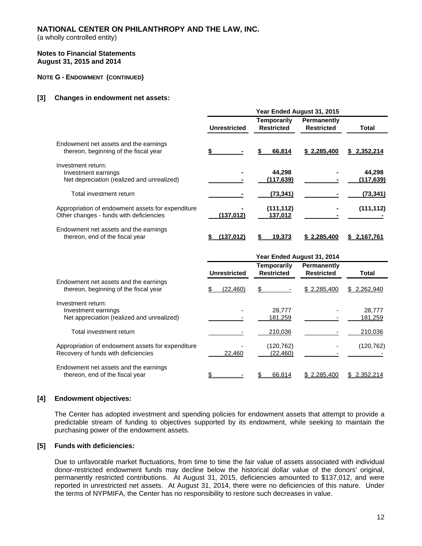(a wholly controlled entity)

#### **Notes to Financial Statements August 31, 2015 and 2014**

## **NOTE G - ENDOWMENT (CONTINUED)**

#### **[3] Changes in endowment net assets:**

|                                                                                                                    |                     | Year Ended August 31, 2015              |                                  |                              |
|--------------------------------------------------------------------------------------------------------------------|---------------------|-----------------------------------------|----------------------------------|------------------------------|
|                                                                                                                    | <b>Unrestricted</b> | <b>Temporarily</b><br><b>Restricted</b> | Permanently<br><b>Restricted</b> | <b>Total</b>                 |
| Endowment net assets and the earnings<br>thereon, beginning of the fiscal year                                     |                     | 66,814                                  | \$2,285,400                      | \$2,352,214                  |
| Investment return:<br>Investment earnings<br>Net depreciation (realized and unrealized)                            |                     | 44,298<br>(117, 639)                    |                                  | 44,298<br>(117, 639)         |
| Total investment return                                                                                            |                     | (73, 341)                               |                                  | (73, 341)                    |
| Appropriation of endowment assets for expenditure<br>Other changes - funds with deficiencies                       | (137, 012)          | (111, 112)<br>137,012                   |                                  | (111, 112)                   |
| Endowment net assets and the earnings<br>thereon, end of the fiscal year                                           | (137,012)           | 19,373                                  | \$2,285,400                      | \$2,167,761                  |
|                                                                                                                    |                     |                                         | Year Ended August 31, 2014       |                              |
|                                                                                                                    | <b>Unrestricted</b> | <b>Temporarily</b><br><b>Restricted</b> | Permanently                      |                              |
|                                                                                                                    |                     |                                         | <b>Restricted</b>                | <b>Total</b>                 |
| Endowment net assets and the earnings<br>thereon, beginning of the fiscal year                                     | (22.460)<br>SБ      | S                                       | \$2,285,400                      | \$2,262,940                  |
| Investment return:<br>Investment earnings<br>Net appreciation (realized and unrealized)<br>Total investment return |                     | 28,777<br><u>181,259</u><br>210,036     |                                  | 28.777<br>181,259<br>210,036 |
| Appropriation of endowment assets for expenditure<br>Recovery of funds with deficiencies                           | 22,460              | (120, 762)<br>(22, 460)                 |                                  | (120, 762)                   |

## **[4] Endowment objectives:**

The Center has adopted investment and spending policies for endowment assets that attempt to provide a predictable stream of funding to objectives supported by its endowment, while seeking to maintain the purchasing power of the endowment assets.

## **[5] Funds with deficiencies:**

Due to unfavorable market fluctuations, from time to time the fair value of assets associated with individual donor-restricted endowment funds may decline below the historical dollar value of the donors' original, permanently restricted contributions. At August 31, 2015, deficiencies amounted to \$137,012, and were reported in unrestricted net assets. At August 31, 2014, there were no deficiencies of this nature. Under the terms of NYPMIFA, the Center has no responsibility to restore such decreases in value.